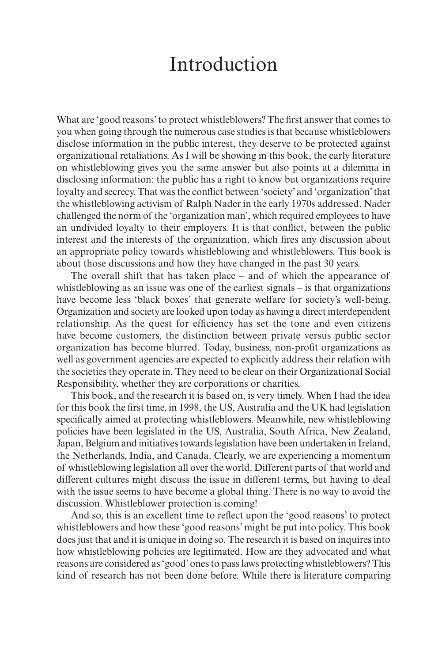## Introduction

What are 'good reasons' to protect whistleblowers? The first answer that comes to you when going through the numerous case studies is that because whistleblowers disclose information in the public interest, they deserve to be protected against organizational retaliations. As I will be showing in this book, the early literature on whistleblowing gives you the same answer but also points at a dilemma in disclosing information: the public has a right to know but organizations require loyalty and secrecy. That was the conflict between 'society' and 'organization' that the whistleblowing activism of Ralph Nader in the early 1970s addressed. Nader challenged the norm of the 'organization man', which required employees to have an undivided loyalty to their employers. It is that conflict, between the public interest and the interests of the organization, which fires any discussion about an appropriate policy towards whistleblowing and whistleblowers. This book is about those discussions and how they have changed in the past 30 years.

The overall shift that has taken place – and of which the appearance of whistleblowing as an issue was one of the earliest signals – is that organizations have become less 'black boxes' that generate welfare for society's well-being. Organization and society are looked upon today as having a direct interdependent relationship. As the quest for efficiency has set the tone and even citizens have become customers, the distinction between private versus public sector organization has become blurred. Today, business, non-profit organizations as well as government agencies are expected to explicitly address their relation with the societies they operate in. They need to be clear on their Organizational Social Responsibility, whether they are corporations or charities.

This book, and the research it is based on, is very timely. When I had the idea for this book the first time, in 1998, the US, Australia and the UK had legislation specifically aimed at protecting whistleblowers. Meanwhile, new whistleblowing policies have been legislated in the US, Australia, South Africa, New Zealand, Japan, Belgium and initiatives towards legislation have been undertaken in Ireland, the Netherlands, India, and Canada. Clearly, we are experiencing a momentum of whistleblowing legislation all over the world. Different parts of that world and different cultures might discuss the issue in different terms, but having to deal with the issue seems to have become a global thing. There is no way to avoid the discussion. Whistleblower protection is coming!

And so, this is an excellent time to reflect upon the 'good reasons' to protect whistleblowers and how these 'good reasons' might be put into policy. This book does just that and it is unique in doing so. The research it is based on inquires into how whistleblowing policies are legitimated. How are they advocated and what reasons are considered as 'good' ones to pass laws protecting whistleblowers? This kind of research has not been done before. While there is literature comparing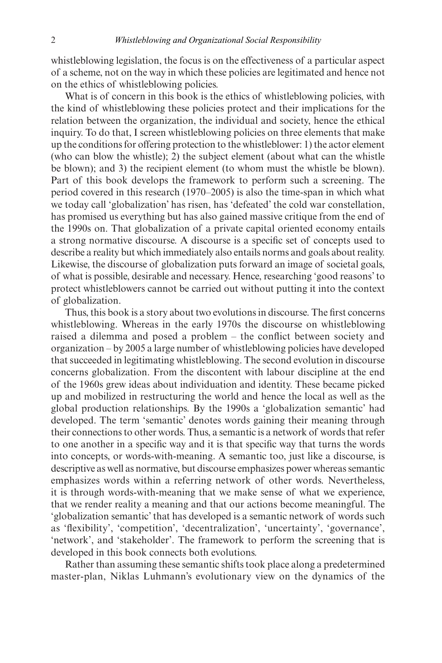whistleblowing legislation, the focus is on the effectiveness of a particular aspect of a scheme, not on the way in which these policies are legitimated and hence not on the ethics of whistleblowing policies.

What is of concern in this book is the ethics of whistleblowing policies, with the kind of whistleblowing these policies protect and their implications for the relation between the organization, the individual and society, hence the ethical inquiry. To do that, I screen whistleblowing policies on three elements that make up the conditions for offering protection to the whistleblower: 1) the actor element (who can blow the whistle); 2) the subject element (about what can the whistle be blown); and 3) the recipient element (to whom must the whistle be blown). Part of this book develops the framework to perform such a screening. The period covered in this research (1970–2005) is also the time-span in which what we today call 'globalization' has risen, has 'defeated' the cold war constellation, has promised us everything but has also gained massive critique from the end of the 1990s on. That globalization of a private capital oriented economy entails a strong normative discourse. A discourse is a specific set of concepts used to describe a reality but which immediately also entails norms and goals about reality. Likewise, the discourse of globalization puts forward an image of societal goals, of what is possible, desirable and necessary. Hence, researching 'good reasons' to protect whistleblowers cannot be carried out without putting it into the context of globalization.

Thus, this book is a story about two evolutions in discourse. The first concerns whistleblowing. Whereas in the early 1970s the discourse on whistleblowing raised a dilemma and posed a problem – the conflict between society and organization – by 2005 a large number of whistleblowing policies have developed that succeeded in legitimating whistleblowing. The second evolution in discourse concerns globalization. From the discontent with labour discipline at the end of the 1960s grew ideas about individuation and identity. These became picked up and mobilized in restructuring the world and hence the local as well as the global production relationships. By the 1990s a 'globalization semantic' had developed. The term 'semantic' denotes words gaining their meaning through their connections to other words. Thus, a semantic is a network of words that refer to one another in a specific way and it is that specific way that turns the words into concepts, or words-with-meaning. A semantic too, just like a discourse, is descriptive as well as normative, but discourse emphasizes power whereas semantic emphasizes words within a referring network of other words. Nevertheless, it is through words-with-meaning that we make sense of what we experience, that we render reality a meaning and that our actions become meaningful. The 'globalization semantic' that has developed is a semantic network of words such as 'flexibility', 'competition', 'decentralization', 'uncertainty', 'governance', 'network', and 'stakeholder'. The framework to perform the screening that is developed in this book connects both evolutions.

Rather than assuming these semantic shifts took place along a predetermined master-plan, Niklas Luhmann's evolutionary view on the dynamics of the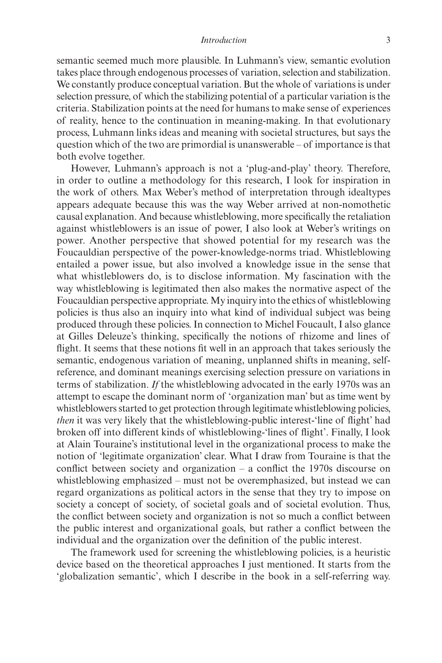## *Introduction* 3

semantic seemed much more plausible. In Luhmann's view, semantic evolution takes place through endogenous processes of variation, selection and stabilization. We constantly produce conceptual variation. But the whole of variations is under selection pressure, of which the stabilizing potential of a particular variation is the criteria. Stabilization points at the need for humans to make sense of experiences of reality, hence to the continuation in meaning-making. In that evolutionary process, Luhmann links ideas and meaning with societal structures, but says the question which of the two are primordial is unanswerable – of importance is that both evolve together.

However, Luhmann's approach is not a 'plug-and-play' theory. Therefore, in order to outline a methodology for this research, I look for inspiration in the work of others. Max Weber's method of interpretation through idealtypes appears adequate because this was the way Weber arrived at non-nomothetic causal explanation. And because whistleblowing, more specifically the retaliation against whistleblowers is an issue of power, I also look at Weber's writings on power. Another perspective that showed potential for my research was the Foucauldian perspective of the power-knowledge-norms triad. Whistleblowing entailed a power issue, but also involved a knowledge issue in the sense that what whistleblowers do, is to disclose information. My fascination with the way whistleblowing is legitimated then also makes the normative aspect of the Foucauldian perspective appropriate. My inquiry into the ethics of whistleblowing policies is thus also an inquiry into what kind of individual subject was being produced through these policies. In connection to Michel Foucault, I also glance at Gilles Deleuze's thinking, specifically the notions of rhizome and lines of flight. It seems that these notions fit well in an approach that takes seriously the semantic, endogenous variation of meaning, unplanned shifts in meaning, selfreference, and dominant meanings exercising selection pressure on variations in terms of stabilization. *If* the whistleblowing advocated in the early 1970s was an attempt to escape the dominant norm of 'organization man' but as time went by whistleblowers started to get protection through legitimate whistleblowing policies, *then* it was very likely that the whistleblowing-public interest-'line of flight' had broken off into different kinds of whistleblowing-'lines of flight'. Finally, I look at Alain Touraine's institutional level in the organizational process to make the notion of 'legitimate organization' clear. What I draw from Touraine is that the conflict between society and organization – a conflict the 1970s discourse on whistleblowing emphasized – must not be overemphasized, but instead we can regard organizations as political actors in the sense that they try to impose on society a concept of society, of societal goals and of societal evolution. Thus, the conflict between society and organization is not so much a conflict between the public interest and organizational goals, but rather a conflict between the individual and the organization over the definition of the public interest.

The framework used for screening the whistleblowing policies, is a heuristic device based on the theoretical approaches I just mentioned. It starts from the 'globalization semantic', which I describe in the book in a self-referring way.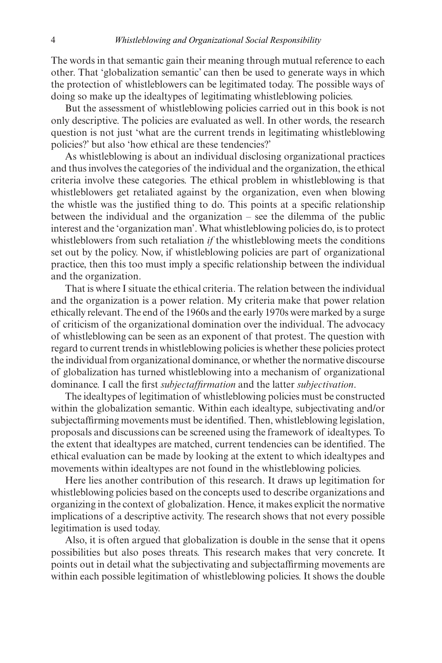The words in that semantic gain their meaning through mutual reference to each other. That 'globalization semantic' can then be used to generate ways in which the protection of whistleblowers can be legitimated today. The possible ways of doing so make up the idealtypes of legitimating whistleblowing policies.

But the assessment of whistleblowing policies carried out in this book is not only descriptive. The policies are evaluated as well. In other words, the research question is not just 'what are the current trends in legitimating whistleblowing policies?' but also 'how ethical are these tendencies?'

As whistleblowing is about an individual disclosing organizational practices and thus involves the categories of the individual and the organization, the ethical criteria involve these categories. The ethical problem in whistleblowing is that whistleblowers get retaliated against by the organization, even when blowing the whistle was the justified thing to do. This points at a specific relationship between the individual and the organization – see the dilemma of the public interest and the 'organization man'. What whistleblowing policies do, is to protect whistleblowers from such retaliation *if* the whistleblowing meets the conditions set out by the policy. Now, if whistleblowing policies are part of organizational practice, then this too must imply a specific relationship between the individual and the organization.

That is where I situate the ethical criteria. The relation between the individual and the organization is a power relation. My criteria make that power relation ethically relevant. The end of the 1960s and the early 1970s were marked by a surge of criticism of the organizational domination over the individual. The advocacy of whistleblowing can be seen as an exponent of that protest. The question with regard to current trends in whistleblowing policies is whether these policies protect the individual from organizational dominance, or whether the normative discourse of globalization has turned whistleblowing into a mechanism of organizational dominance. I call the first *subjectaffirmation* and the latter *subjectivation*.

The idealtypes of legitimation of whistleblowing policies must be constructed within the globalization semantic. Within each idealtype, subjectivating and/or subjectaffirming movements must be identified. Then, whistleblowing legislation, proposals and discussions can be screened using the framework of idealtypes. To the extent that idealtypes are matched, current tendencies can be identified. The ethical evaluation can be made by looking at the extent to which idealtypes and movements within idealtypes are not found in the whistleblowing policies.

Here lies another contribution of this research. It draws up legitimation for whistleblowing policies based on the concepts used to describe organizations and organizing in the context of globalization. Hence, it makes explicit the normative implications of a descriptive activity. The research shows that not every possible legitimation is used today.

Also, it is often argued that globalization is double in the sense that it opens possibilities but also poses threats. This research makes that very concrete. It points out in detail what the subjectivating and subjectaffirming movements are within each possible legitimation of whistleblowing policies. It shows the double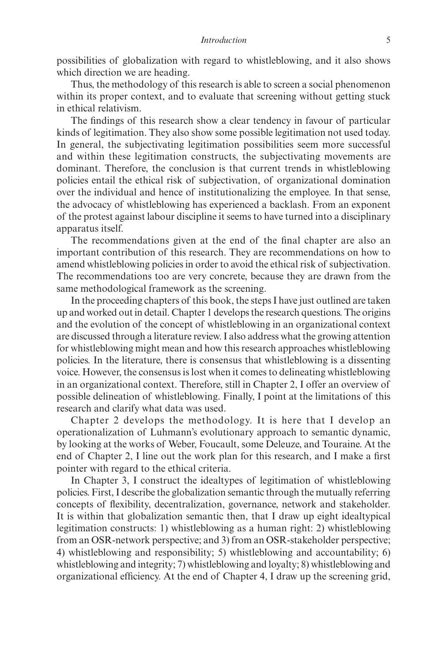possibilities of globalization with regard to whistleblowing, and it also shows which direction we are heading.

Thus, the methodology of this research is able to screen a social phenomenon within its proper context, and to evaluate that screening without getting stuck in ethical relativism.

The findings of this research show a clear tendency in favour of particular kinds of legitimation. They also show some possible legitimation not used today. In general, the subjectivating legitimation possibilities seem more successful and within these legitimation constructs, the subjectivating movements are dominant. Therefore, the conclusion is that current trends in whistleblowing policies entail the ethical risk of subjectivation, of organizational domination over the individual and hence of institutionalizing the employee. In that sense, the advocacy of whistleblowing has experienced a backlash. From an exponent of the protest against labour discipline it seems to have turned into a disciplinary apparatus itself.

The recommendations given at the end of the final chapter are also an important contribution of this research. They are recommendations on how to amend whistleblowing policies in order to avoid the ethical risk of subjectivation. The recommendations too are very concrete, because they are drawn from the same methodological framework as the screening.

In the proceeding chapters of this book, the steps I have just outlined are taken up and worked out in detail. Chapter 1 develops the research questions. The origins and the evolution of the concept of whistleblowing in an organizational context are discussed through a literature review. I also address what the growing attention for whistleblowing might mean and how this research approaches whistleblowing policies. In the literature, there is consensus that whistleblowing is a dissenting voice. However, the consensus is lost when it comes to delineating whistleblowing in an organizational context. Therefore, still in Chapter 2, I offer an overview of possible delineation of whistleblowing. Finally, I point at the limitations of this research and clarify what data was used.

Chapter 2 develops the methodology. It is here that I develop an operationalization of Luhmann's evolutionary approach to semantic dynamic, by looking at the works of Weber, Foucault, some Deleuze, and Touraine. At the end of Chapter 2, I line out the work plan for this research, and I make a first pointer with regard to the ethical criteria.

In Chapter 3, I construct the idealtypes of legitimation of whistleblowing policies. First, I describe the globalization semantic through the mutually referring concepts of flexibility, decentralization, governance, network and stakeholder. It is within that globalization semantic then, that I draw up eight idealtypical legitimation constructs: 1) whistleblowing as a human right: 2) whistleblowing from an OSR-network perspective; and 3) from an OSR-stakeholder perspective; 4) whistleblowing and responsibility; 5) whistleblowing and accountability; 6) whistleblowing and integrity; 7) whistleblowing and loyalty; 8) whistleblowing and organizational efficiency. At the end of Chapter 4, I draw up the screening grid,